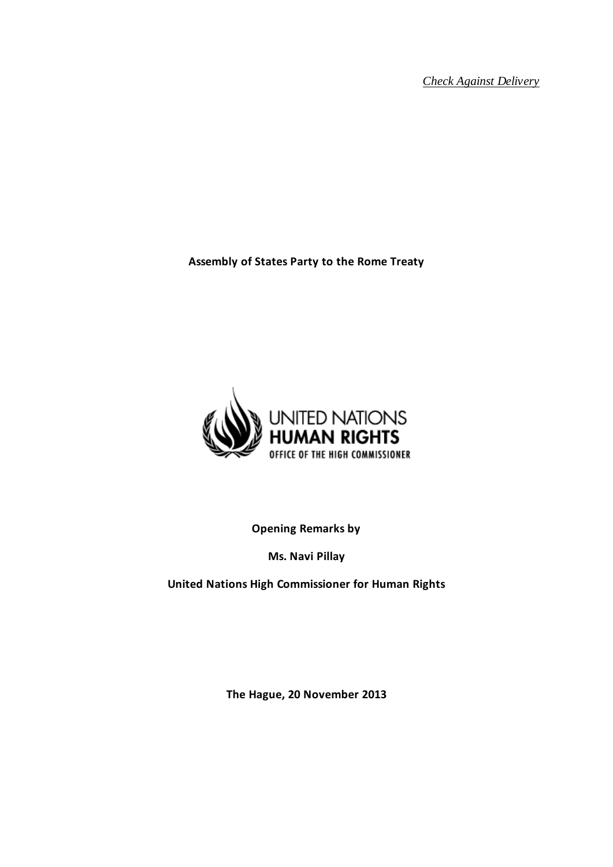*Check Against Delivery*

**Assembly of States Party to the Rome Treaty**



**Opening Remarks by** 

**Ms. Navi Pillay** 

**United Nations High Commissioner for Human Rights**

**The Hague, 20 November 2013**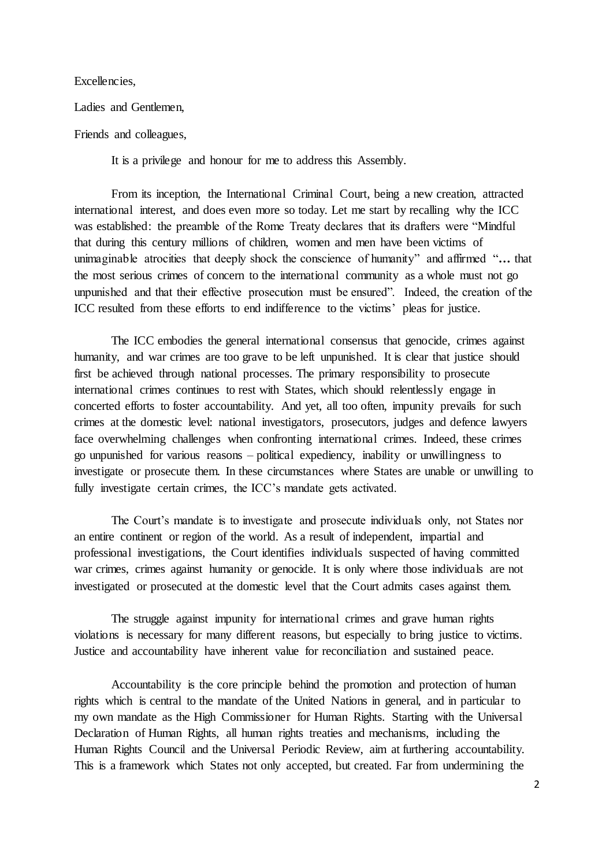Excellencies,

Ladies and Gentlemen,

Friends and colleagues,

It is a privilege and honour for me to address this Assembly.

From its inception, the International Criminal Court, being a new creation, attracted international interest, and does even more so today. Let me start by recalling why the ICC was established: the preamble of the Rome Treaty declares that its drafters were "Mindful that during this century millions of children, women and men have been victims of unimaginable atrocities that deeply shock the conscience of humanity" and affirmed "**…** that the most serious crimes of concern to the international community as a whole must not go unpunished and that their effective prosecution must be ensured". Indeed, the creation of the ICC resulted from these efforts to end indifference to the victims' pleas for justice.

The ICC embodies the general international consensus that genocide, crimes against humanity, and war crimes are too grave to be left unpunished. It is clear that justice should first be achieved through national processes. The primary responsibility to prosecute international crimes continues to rest with States, which should relentlessly engage in concerted efforts to foster accountability. And yet, all too often, impunity prevails for such crimes at the domestic level: national investigators, prosecutors, judges and defence lawyers face overwhelming challenges when confronting international crimes. Indeed, these crimes go unpunished for various reasons – political expediency, inability or unwillingness to investigate or prosecute them. In these circumstances where States are unable or unwilling to fully investigate certain crimes, the ICC's mandate gets activated.

The Court's mandate is to investigate and prosecute individuals only, not States nor an entire continent or region of the world. As a result of independent, impartial and professional investigations, the Court identifies individuals suspected of having committed war crimes, crimes against humanity or genocide. It is only where those individuals are not investigated or prosecuted at the domestic level that the Court admits cases against them.

The struggle against impunity for international crimes and grave human rights violations is necessary for many different reasons, but especially to bring justice to victims. Justice and accountability have inherent value for reconciliation and sustained peace.

Accountability is the core principle behind the promotion and protection of human rights which is central to the mandate of the United Nations in general, and in particular to my own mandate as the High Commissioner for Human Rights. Starting with the Universal Declaration of Human Rights, all human rights treaties and mechanisms, including the Human Rights Council and the Universal Periodic Review, aim at furthering accountability. This is a framework which States not only accepted, but created. Far from undermining the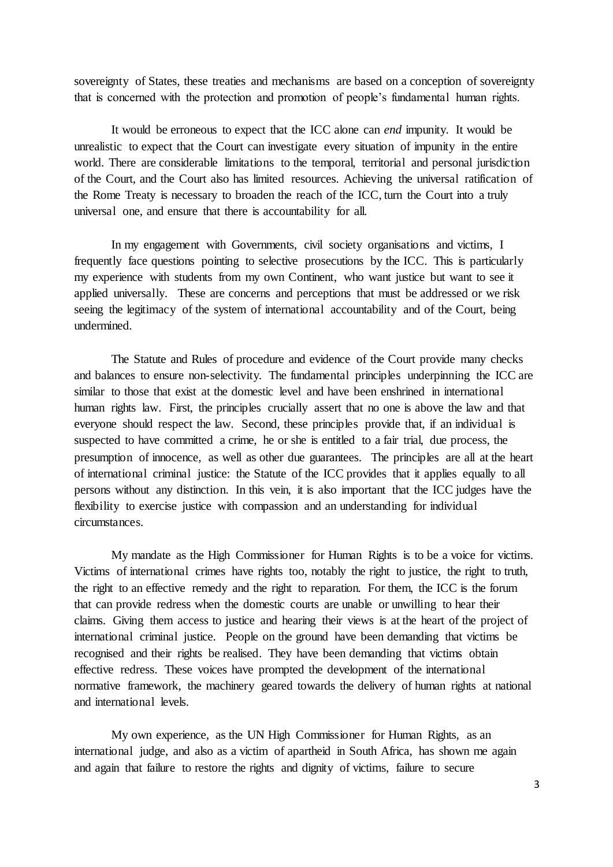sovereignty of States, these treaties and mechanisms are based on a conception of sovereignty that is concerned with the protection and promotion of people's fundamental human rights.

It would be erroneous to expect that the ICC alone can *end* impunity. It would be unrealistic to expect that the Court can investigate every situation of impunity in the entire world. There are considerable limitations to the temporal, territorial and personal jurisdiction of the Court, and the Court also has limited resources. Achieving the universal ratification of the Rome Treaty is necessary to broaden the reach of the ICC, turn the Court into a truly universal one, and ensure that there is accountability for all.

In my engagement with Governments, civil society organisations and victims, I frequently face questions pointing to selective prosecutions by the ICC. This is particularly my experience with students from my own Continent, who want justice but want to see it applied universally. These are concerns and perceptions that must be addressed or we risk seeing the legitimacy of the system of international accountability and of the Court, being undermined.

The Statute and Rules of procedure and evidence of the Court provide many checks and balances to ensure non-selectivity. The fundamental principles underpinning the ICC are similar to those that exist at the domestic level and have been enshrined in international human rights law. First, the principles crucially assert that no one is above the law and that everyone should respect the law. Second, these principles provide that, if an individual is suspected to have committed a crime, he or she is entitled to a fair trial, due process, the presumption of innocence, as well as other due guarantees. The principles are all at the heart of international criminal justice: the Statute of the ICC provides that it applies equally to all persons without any distinction. In this vein, it is also important that the ICC judges have the flexibility to exercise justice with compassion and an understanding for individual circumstances.

My mandate as the High Commissioner for Human Rights is to be a voice for victims. Victims of international crimes have rights too, notably the right to justice, the right to truth, the right to an effective remedy and the right to reparation. For them, the ICC is the forum that can provide redress when the domestic courts are unable or unwilling to hear their claims. Giving them access to justice and hearing their views is at the heart of the project of international criminal justice. People on the ground have been demanding that victims be recognised and their rights be realised. They have been demanding that victims obtain effective redress. These voices have prompted the development of the international normative framework, the machinery geared towards the delivery of human rights at national and international levels.

My own experience, as the UN High Commissioner for Human Rights, as an international judge, and also as a victim of apartheid in South Africa, has shown me again and again that failure to restore the rights and dignity of victims, failure to secure